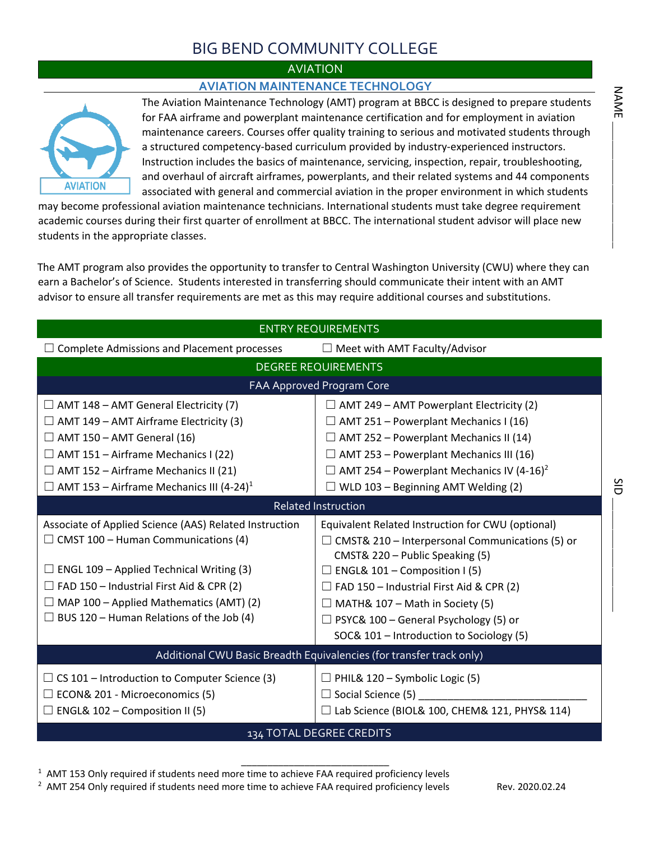## BIG BEND COMMUNITY COLLEGE

### **AVIATION**

### **AVIATION MAINTENANCE TECHNOLOGY**



The Aviation Maintenance Technology (AMT) program at BBCC is designed to prepare students for FAA airframe and powerplant maintenance certification and for employment in aviation maintenance careers. Courses offer quality training to serious and motivated students through a structured competency-based curriculum provided by industry-experienced instructors. Instruction includes the basics of maintenance, servicing, inspection, repair, troubleshooting, and overhaul of aircraft airframes, powerplants, and their related systems and 44 components associated with general and commercial aviation in the proper environment in which students

may become professional aviation maintenance technicians. International students must take degree requirement academic courses during their first quarter of enrollment at BBCC. The international student advisor will place new students in the appropriate classes.

The AMT program also provides the opportunity to transfer to Central Washington University (CWU) where they can earn a Bachelor's of Science. Students interested in transferring should communicate their intent with an AMT advisor to ensure all transfer requirements are met as this may require additional courses and substitutions.

|                                                                                                                                                                                                                                                                                                                 | <b>ENTRY REQUIREMENTS</b>                                                                                                                                                                                                                                                                                                                                                       |
|-----------------------------------------------------------------------------------------------------------------------------------------------------------------------------------------------------------------------------------------------------------------------------------------------------------------|---------------------------------------------------------------------------------------------------------------------------------------------------------------------------------------------------------------------------------------------------------------------------------------------------------------------------------------------------------------------------------|
| $\Box$ Complete Admissions and Placement processes                                                                                                                                                                                                                                                              | $\Box$ Meet with AMT Faculty/Advisor                                                                                                                                                                                                                                                                                                                                            |
|                                                                                                                                                                                                                                                                                                                 | <b>DEGREE REQUIREMENTS</b>                                                                                                                                                                                                                                                                                                                                                      |
|                                                                                                                                                                                                                                                                                                                 | FAA Approved Program Core                                                                                                                                                                                                                                                                                                                                                       |
| $\Box$ AMT 148 – AMT General Electricity (7)                                                                                                                                                                                                                                                                    | $\Box$ AMT 249 – AMT Powerplant Electricity (2)                                                                                                                                                                                                                                                                                                                                 |
| $\Box$ AMT 149 – AMT Airframe Electricity (3)                                                                                                                                                                                                                                                                   | $\Box$ AMT 251 – Powerplant Mechanics I (16)                                                                                                                                                                                                                                                                                                                                    |
| $\Box$ AMT 150 – AMT General (16)                                                                                                                                                                                                                                                                               | $\Box$ AMT 252 – Powerplant Mechanics II (14)                                                                                                                                                                                                                                                                                                                                   |
| $\Box$ AMT 151 – Airframe Mechanics I (22)                                                                                                                                                                                                                                                                      | $\Box$ AMT 253 – Powerplant Mechanics III (16)                                                                                                                                                                                                                                                                                                                                  |
| AMT 152 - Airframe Mechanics II (21)                                                                                                                                                                                                                                                                            | $\Box$ AMT 254 – Powerplant Mechanics IV (4-16) <sup>2</sup>                                                                                                                                                                                                                                                                                                                    |
| $\Box$ AMT 153 – Airframe Mechanics III (4-24) <sup>1</sup>                                                                                                                                                                                                                                                     | $\Box$ WLD 103 – Beginning AMT Welding (2)                                                                                                                                                                                                                                                                                                                                      |
|                                                                                                                                                                                                                                                                                                                 | Related Instruction                                                                                                                                                                                                                                                                                                                                                             |
| Associate of Applied Science (AAS) Related Instruction<br>$\Box$ CMST 100 – Human Communications (4)<br>$\Box$ ENGL 109 – Applied Technical Writing (3)<br>$\Box$ FAD 150 – Industrial First Aid & CPR (2)<br>$\Box$ MAP 100 – Applied Mathematics (AMT) (2)<br>$\Box$ BUS 120 – Human Relations of the Job (4) | Equivalent Related Instruction for CWU (optional)<br>$\Box$ CMST& 210 – Interpersonal Communications (5) or<br>CMST& 220 - Public Speaking (5)<br>$\Box$ ENGL& 101 – Composition I (5)<br>$\Box$ FAD 150 – Industrial First Aid & CPR (2)<br>$\Box$ MATH& 107 – Math in Society (5)<br>$\Box$ PSYC& 100 – General Psychology (5) or<br>SOC& 101 - Introduction to Sociology (5) |
|                                                                                                                                                                                                                                                                                                                 | Additional CWU Basic Breadth Equivalencies (for transfer track only)                                                                                                                                                                                                                                                                                                            |
| $\Box$ CS 101 – Introduction to Computer Science (3)<br>$\Box$ ECON& 201 - Microeconomics (5)<br>$\Box$ ENGL& 102 – Composition II (5)                                                                                                                                                                          | $\Box$ PHIL& 120 – Symbolic Logic (5)<br>$\Box$ Social Science (5)<br>$\Box$ Lab Science (BIOL& 100, CHEM& 121, PHYS& 114)                                                                                                                                                                                                                                                      |
|                                                                                                                                                                                                                                                                                                                 | <b>134 TOTAL DEGREE CREDITS</b>                                                                                                                                                                                                                                                                                                                                                 |

 $\_$ 

 $1$  AMT 153 Only required if students need more time to achieve FAA required proficiency levels

<sup>2</sup> AMT 254 Only required if students need more time to achieve FAA required proficiency levels Rev. 2020.02.24

 $\mathsf{SID} \xrightarrow{\hspace{0.5cm}} \mathsf{SID}$ 

 $\frac{5}{10}$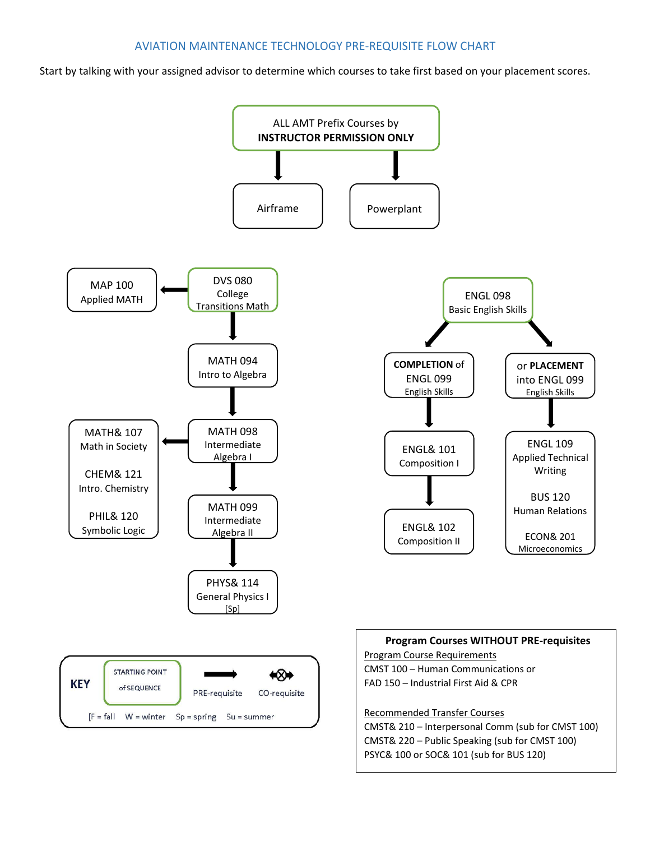Start by talking with your assigned advisor to determine which courses to take first based on your placement scores.

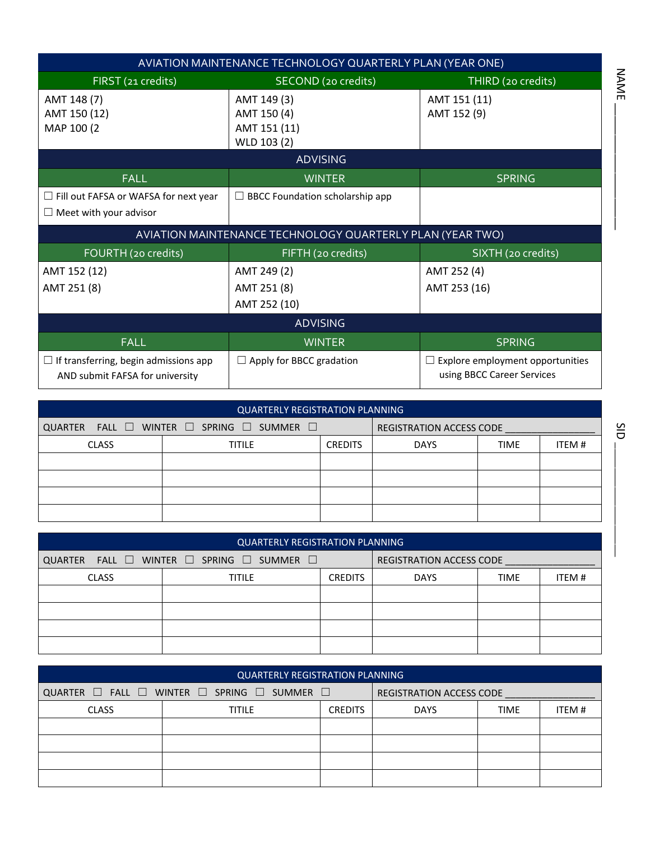|                                                                                 | AVIATION MAINTENANCE TECHNOLOGY QUARTERLY PLAN (YEAR ONE) |                                                                       |
|---------------------------------------------------------------------------------|-----------------------------------------------------------|-----------------------------------------------------------------------|
| FIRST (21 credits)                                                              | SECOND (20 credits)                                       | THIRD (20 credits)                                                    |
| AMT 148 (7)                                                                     | AMT 149 (3)                                               | AMT 151 (11)                                                          |
| AMT 150 (12)                                                                    | AMT 150 (4)                                               | AMT 152 (9)                                                           |
| MAP 100 (2                                                                      | AMT 151 (11)                                              |                                                                       |
|                                                                                 | WLD 103 (2)                                               |                                                                       |
|                                                                                 | <b>ADVISING</b>                                           |                                                                       |
| <b>FALL</b>                                                                     | <b>WINTER</b>                                             | <b>SPRING</b>                                                         |
| $\Box$ Fill out FAFSA or WAFSA for next year                                    | $\Box$ BBCC Foundation scholarship app                    |                                                                       |
| $\Box$ Meet with your advisor                                                   |                                                           |                                                                       |
|                                                                                 | AVIATION MAINTENANCE TECHNOLOGY QUARTERLY PLAN (YEAR TWO) |                                                                       |
| FOURTH (20 credits)                                                             | FIFTH (20 credits)                                        | SIXTH (20 credits)                                                    |
| AMT 152 (12)                                                                    | AMT 249 (2)                                               | AMT 252 (4)                                                           |
| AMT 251 (8)                                                                     | AMT 251 (8)                                               | AMT 253 (16)                                                          |
|                                                                                 | AMT 252 (10)                                              |                                                                       |
|                                                                                 | <b>ADVISING</b>                                           |                                                                       |
| <b>FALL</b>                                                                     | <b>WINTER</b>                                             | <b>SPRING</b>                                                         |
| $\Box$ If transferring, begin admissions app<br>AND submit FAFSA for university | $\Box$ Apply for BBCC gradation                           | $\Box$ Explore employment opportunities<br>using BBCC Career Services |

|              | <b>QUARTERLY REGISTRATION PLANNING</b>    |                |                                 |             |       |
|--------------|-------------------------------------------|----------------|---------------------------------|-------------|-------|
|              | QUARTER FALL I WINTER I SPRING I SUMMER I |                | <b>REGISTRATION ACCESS CODE</b> |             |       |
| <b>CLASS</b> | <b>TITILE</b>                             | <b>CREDITS</b> | <b>DAYS</b>                     | <b>TIME</b> | ITEM# |
|              |                                           |                |                                 |             |       |
|              |                                           |                |                                 |             |       |
|              |                                           |                |                                 |             |       |
|              |                                           |                |                                 |             |       |

|              | <b>QUARTERLY REGISTRATION PLANNING</b>                        |                |                                 |             |       |
|--------------|---------------------------------------------------------------|----------------|---------------------------------|-------------|-------|
|              | QUARTER FALL $\Box$ WINTER $\Box$ SPRING $\Box$ SUMMER $\Box$ |                | <b>REGISTRATION ACCESS CODE</b> |             |       |
| <b>CLASS</b> | <b>TITILE</b>                                                 | <b>CREDITS</b> | <b>DAYS</b>                     | <b>TIME</b> | ITEM# |
|              |                                                               |                |                                 |             |       |
|              |                                                               |                |                                 |             |       |
|              |                                                               |                |                                 |             |       |
|              |                                                               |                |                                 |             |       |

|              | <b>QUARTERLY REGISTRATION PLANNING</b>                               |                |                                 |             |       |
|--------------|----------------------------------------------------------------------|----------------|---------------------------------|-------------|-------|
|              | QUARTER $\Box$ FALL $\Box$ WINTER $\Box$ SPRING $\Box$ SUMMER $\Box$ |                | <b>REGISTRATION ACCESS CODE</b> |             |       |
| <b>CLASS</b> | <b>TITILE</b>                                                        | <b>CREDITS</b> | <b>DAYS</b>                     | <b>TIME</b> | ITEM# |
|              |                                                                      |                |                                 |             |       |
|              |                                                                      |                |                                 |             |       |
|              |                                                                      |                |                                 |             |       |
|              |                                                                      |                |                                 |             |       |

NAME \_\_\_\_\_\_\_\_\_\_\_\_\_\_\_\_\_\_\_\_

NAME.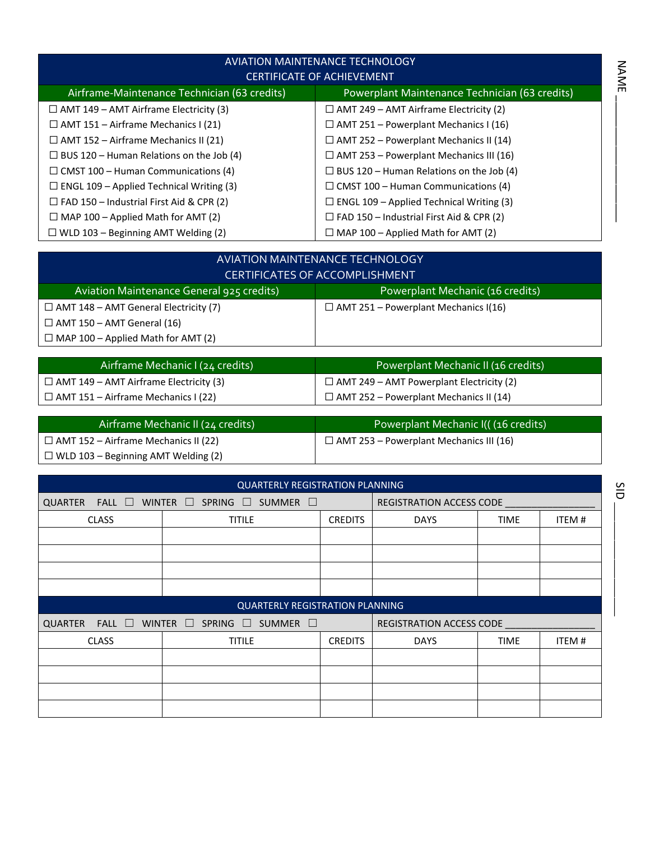|                                                 | <b>AVIATION MAINTENANCE TECHNOLOGY</b>          |
|-------------------------------------------------|-------------------------------------------------|
|                                                 | <b>CERTIFICATE OF ACHIEVEMENT</b>               |
| Airframe-Maintenance Technician (63 credits)    | Powerplant Maintenance Technician (63 credits)  |
| $\Box$ AMT 149 – AMT Airframe Electricity (3)   | $\Box$ AMT 249 – AMT Airframe Electricity (2)   |
| $\Box$ AMT 151 – Airframe Mechanics I (21)      | $\Box$ AMT 251 – Powerplant Mechanics I (16)    |
| $\Box$ AMT 152 – Airframe Mechanics II (21)     | $\Box$ AMT 252 – Powerplant Mechanics II (14)   |
| $\Box$ BUS 120 – Human Relations on the Job (4) | $\Box$ AMT 253 – Powerplant Mechanics III (16)  |
| $\Box$ CMST 100 – Human Communications (4)      | $\Box$ BUS 120 – Human Relations on the Job (4) |
| $\Box$ ENGL 109 – Applied Technical Writing (3) | $\Box$ CMST 100 – Human Communications (4)      |
| $\Box$ FAD 150 – Industrial First Aid & CPR (2) | $\Box$ ENGL 109 – Applied Technical Writing (3) |
| $\Box$ MAP 100 – Applied Math for AMT (2)       | $\Box$ FAD 150 – Industrial First Aid & CPR (2) |
| $\Box$ WLD 103 – Beginning AMT Welding (2)      | $\Box$ MAP 100 - Applied Math for AMT (2)       |

|                                              | AVIATION MAINTENANCE TECHNOLOGY<br><b>CERTIFICATES OF ACCOMPLISHMENT</b> |
|----------------------------------------------|--------------------------------------------------------------------------|
| Aviation Maintenance General 925 credits)    | Powerplant Mechanic (16 credits)                                         |
| $\Box$ AMT 148 – AMT General Electricity (7) | $\Box$ AMT 251 – Powerplant Mechanics I(16)                              |
| $\Box$ AMT 150 – AMT General (16)            |                                                                          |
| $\Box$ MAP 100 – Applied Math for AMT (2)    |                                                                          |

| Airframe Mechanic I (24 credits)              | Powerplant Mechanic II (16 credits)             |
|-----------------------------------------------|-------------------------------------------------|
| $\Box$ AMT 149 – AMT Airframe Electricity (3) | $\Box$ AMT 249 – AMT Powerplant Electricity (2) |
| $\Box$ AMT 151 – Airframe Mechanics I (22)    | $\Box$ AMT 252 – Powerplant Mechanics II (14)   |

| Airframe Mechanic II (24 credits)           | Powerplant Mechanic I(((16 credits)            |
|---------------------------------------------|------------------------------------------------|
| $\Box$ AMT 152 – Airframe Mechanics II (22) | $\Box$ AMT 253 – Powerplant Mechanics III (16) |
| $\Box$ WLD 103 – Beginning AMT Welding (2)  |                                                |

|                               | <b>QUARTERLY REGISTRATION PLANNING</b>                   |                |                                 |             |       |
|-------------------------------|----------------------------------------------------------|----------------|---------------------------------|-------------|-------|
| <b>QUARTER</b><br>FALL $\Box$ | WINTER $\Box$<br>SPRING $\Box$<br>SUMMER $\square$       |                | REGISTRATION ACCESS CODE        |             |       |
| <b>CLASS</b>                  | <b>TITILE</b>                                            | <b>CREDITS</b> | <b>DAYS</b>                     | <b>TIME</b> | ITEM# |
|                               |                                                          |                |                                 |             |       |
|                               |                                                          |                |                                 |             |       |
|                               |                                                          |                |                                 |             |       |
|                               |                                                          |                |                                 |             |       |
|                               | <b>QUARTERLY REGISTRATION PLANNING</b>                   |                |                                 |             |       |
| FALL $\Box$<br><b>QUARTER</b> | WINTER $\square$<br>SPRING<br>SUMMER $\square$<br>$\Box$ |                | <b>REGISTRATION ACCESS CODE</b> |             |       |
|                               |                                                          |                |                                 |             |       |
| <b>CLASS</b>                  | <b>TITILE</b>                                            | <b>CREDITS</b> | <b>DAYS</b>                     | <b>TIME</b> | ITEM# |
|                               |                                                          |                |                                 |             |       |
|                               |                                                          |                |                                 |             |       |
|                               |                                                          |                |                                 |             |       |

SID  $\overline{\text{c}}$ ld

NAME \_\_\_\_\_\_\_\_\_\_\_\_\_\_\_\_\_\_\_\_

**NAME**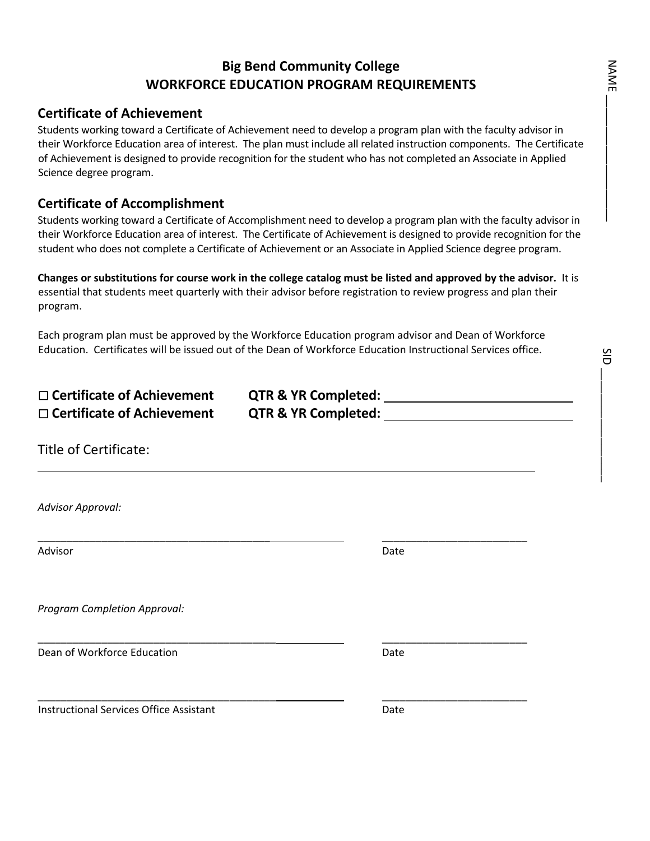### **Big Bend Community College WORKFORCE EDUCATION PROGRAM REQUIREMENTS**

### **Certificate of Achievement**

Students working toward a Certificate of Achievement need to develop a program plan with the faculty advisor in their Workforce Education area of interest. The plan must include all related instruction components. The Certificate of Achievement is designed to provide recognition for the student who has not completed an Associate in Applied Science degree program.

### **Certificate of Accomplishment**

Students working toward a Certificate of Accomplishment need to develop a program plan with the faculty advisor in their Workforce Education area of interest. The Certificate of Achievement is designed to provide recognition for the student who does not complete a Certificate of Achievement or an Associate in Applied Science degree program.

**Changes or substitutions for course work in the college catalog must be listed and approved by the advisor.** It is essential that students meet quarterly with their advisor before registration to review progress and plan their program.

Each program plan must be approved by the Workforce Education program advisor and Dean of Workforce Education. Certificates will be issued out of the Dean of Workforce Education Instructional Services office.

| $\Box$ Certificate of Achievement<br>$\Box$ Certificate of Achievement |      |
|------------------------------------------------------------------------|------|
| Title of Certificate:                                                  |      |
| <b>Advisor Approval:</b>                                               |      |
| Advisor                                                                | Date |
| Program Completion Approval:                                           |      |
| Dean of Workforce Education                                            | Date |
| <b>Instructional Services Office Assistant</b>                         | Date |

 $\mathcal{L}=\{1,2,3,4\}$ 

SID